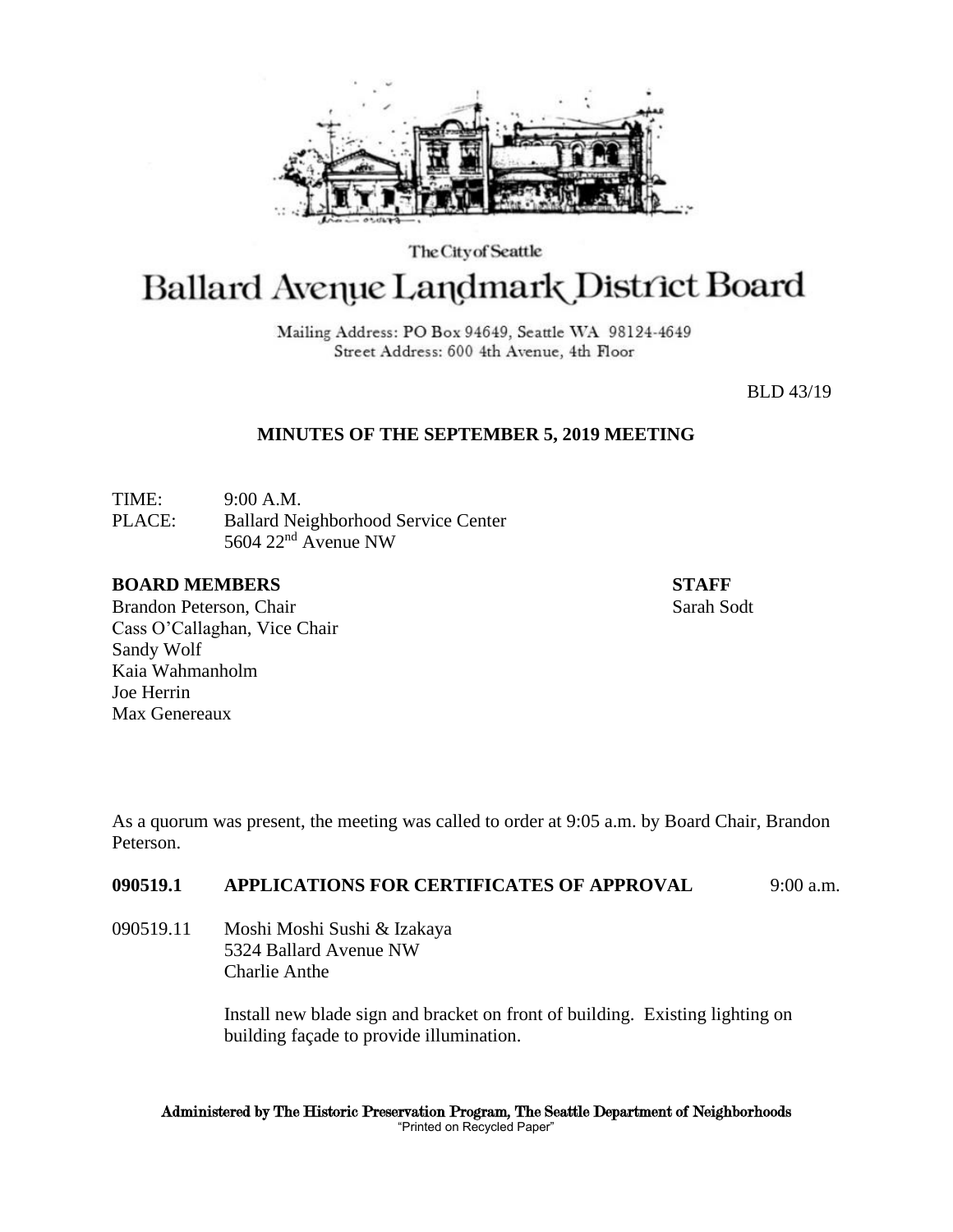

The City of Seattle

# Ballard Avenue Landmark District Board

Mailing Address: PO Box 94649, Seattle WA 98124-4649 Street Address: 600 4th Avenue, 4th Floor

BLD 43/19

# **MINUTES OF THE SEPTEMBER 5, 2019 MEETING**

TIME: 9:00 A.M. PLACE: Ballard Neighborhood Service Center 5604 22nd Avenue NW

## **BOARD MEMBERS STAFF**

Brandon Peterson, Chair Sarah Sodt Sarah Sodt Sarah Sodt Sarah Sodt Sarah Sodt Sarah Sodt Sarah Sodt Sarah Sodt Cass O'Callaghan, Vice Chair Sandy Wolf Kaia Wahmanholm Joe Herrin Max Genereaux

As a quorum was present, the meeting was called to order at 9:05 a.m. by Board Chair, Brandon Peterson.

# **090519.1 APPLICATIONS FOR CERTIFICATES OF APPROVAL** 9:00 a.m.

090519.11 Moshi Moshi Sushi & Izakaya 5324 Ballard Avenue NW Charlie Anthe

> Install new blade sign and bracket on front of building. Existing lighting on building façade to provide illumination.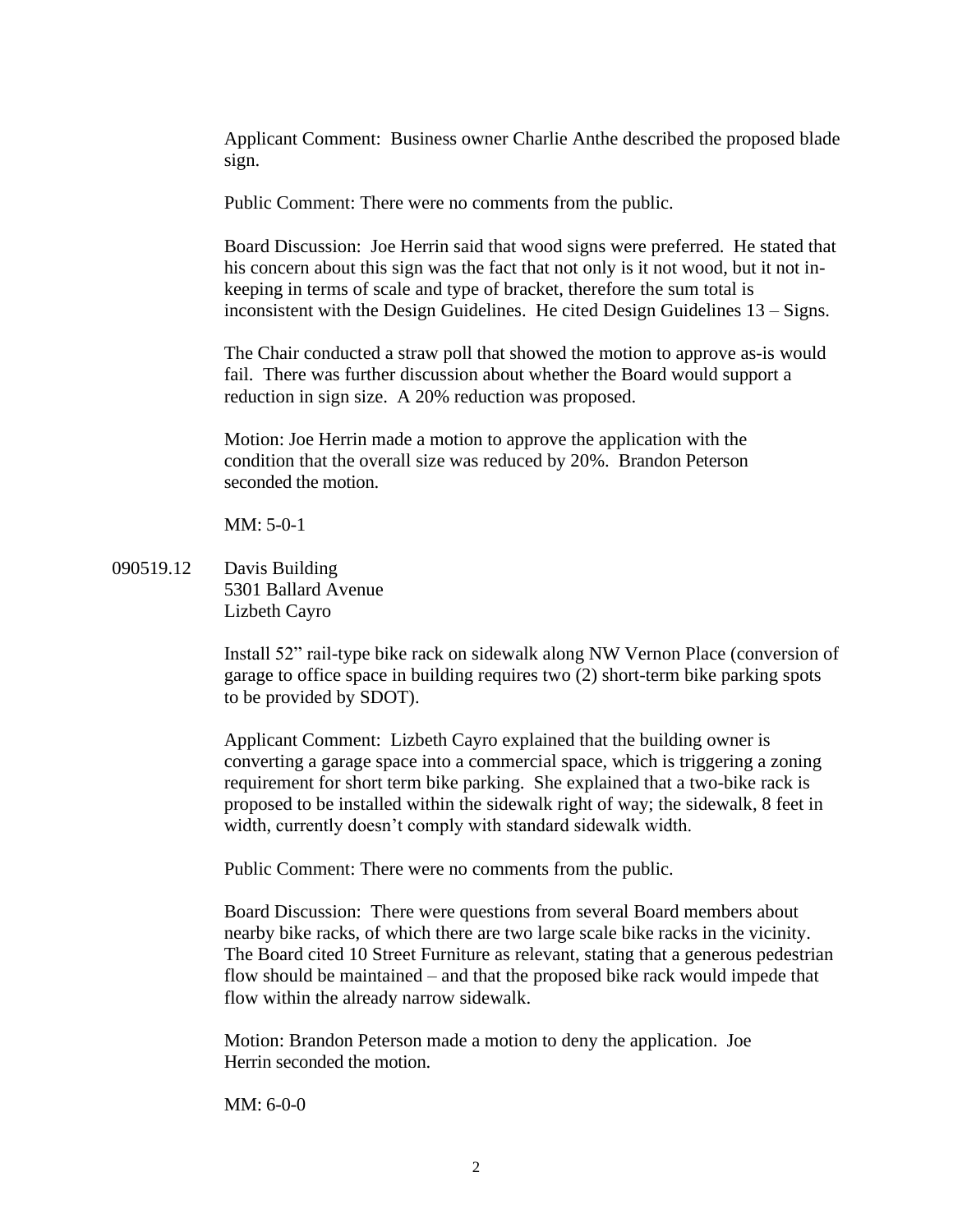Applicant Comment: Business owner Charlie Anthe described the proposed blade sign.

Public Comment: There were no comments from the public.

Board Discussion: Joe Herrin said that wood signs were preferred. He stated that his concern about this sign was the fact that not only is it not wood, but it not inkeeping in terms of scale and type of bracket, therefore the sum total is inconsistent with the Design Guidelines. He cited Design Guidelines 13 – Signs.

The Chair conducted a straw poll that showed the motion to approve as-is would fail. There was further discussion about whether the Board would support a reduction in sign size. A 20% reduction was proposed.

Motion: Joe Herrin made a motion to approve the application with the condition that the overall size was reduced by 20%. Brandon Peterson seconded the motion.

MM: 5-0-1

090519.12 Davis Building 5301 Ballard Avenue Lizbeth Cayro

> Install 52" rail-type bike rack on sidewalk along NW Vernon Place (conversion of garage to office space in building requires two (2) short-term bike parking spots to be provided by SDOT).

Applicant Comment: Lizbeth Cayro explained that the building owner is converting a garage space into a commercial space, which is triggering a zoning requirement for short term bike parking. She explained that a two-bike rack is proposed to be installed within the sidewalk right of way; the sidewalk, 8 feet in width, currently doesn't comply with standard sidewalk width.

Public Comment: There were no comments from the public.

Board Discussion: There were questions from several Board members about nearby bike racks, of which there are two large scale bike racks in the vicinity. The Board cited 10 Street Furniture as relevant, stating that a generous pedestrian flow should be maintained – and that the proposed bike rack would impede that flow within the already narrow sidewalk.

Motion: Brandon Peterson made a motion to deny the application. Joe Herrin seconded the motion.

MM: 6-0-0